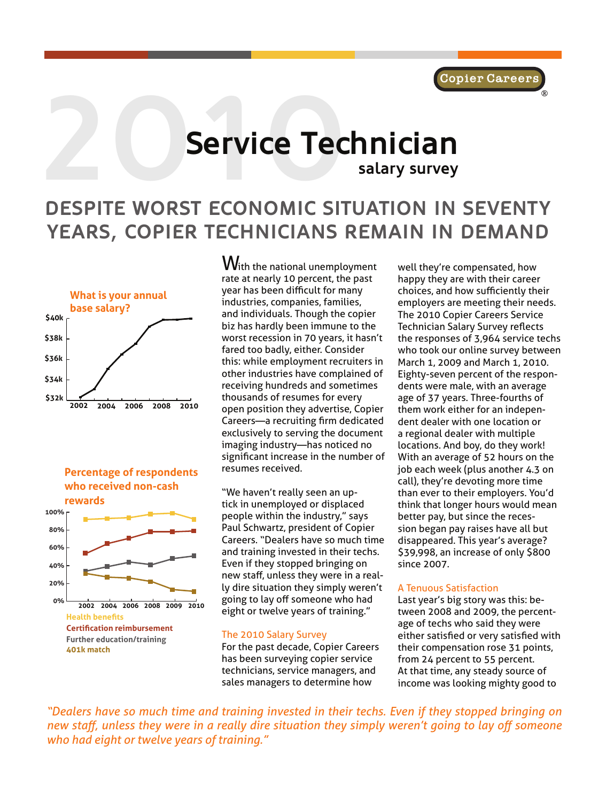# **2010 Service Tec Service Technician salary survey**

## **DESPITE WORST ECONOMIC SITUATION IN SEVENTY YEARS, COPIER TECHNICIANS REMAIN IN DEMAND**





With the national unemployment rate at nearly 10 percent, the past year has been difficult for many industries, companies, families, and individuals. Though the copier biz has hardly been immune to the worst recession in 70 years, it hasn't fared too badly, either. Consider this: while employment recruiters in other industries have complained of receiving hundreds and sometimes thousands of resumes for every open position they advertise, Copier Careers—a recruiting firm dedicated exclusively to serving the document imaging industry—has noticed no significant increase in the number of resumes received.

"We haven't really seen an uptick in unemployed or displaced people within the industry," says Paul Schwartz, president of Copier Careers. "Dealers have so much time and training invested in their techs. Even if they stopped bringing on new staff, unless they were in a really dire situation they simply weren't going to lay off someone who had eight or twelve years of training."

#### The 2010 Salary Survey

For the past decade, Copier Careers has been surveying copier service technicians, service managers, and sales managers to determine how

well they're compensated, how happy they are with their career choices, and how sufficiently their employers are meeting their needs. The 2010 Copier Careers Service Technician Salary Survey reflects the responses of 3,964 service techs who took our online survey between March 1, 2009 and March 1, 2010. Eighty-seven percent of the respondents were male, with an average age of 37 years. Three-fourths of them work either for an independent dealer with one location or a regional dealer with multiple locations. And boy, do they work! With an average of 52 hours on the job each week (plus another 4.3 on call), they're devoting more time than ever to their employers. You'd think that longer hours would mean better pay, but since the recession began pay raises have all but disappeared. This year's average? \$39,998, an increase of only \$800 since 2007.

#### A Tenuous Satisfaction

Last year's big story was this: between 2008 and 2009, the percentage of techs who said they were either satisfied or very satisfied with their compensation rose 31 points, from 24 percent to 55 percent. At that time, any steady source of income was looking mighty good to

*"Dealers have so much time and training invested in their techs. Even if they stopped bringing on new staff, unless they were in a really dire situation they simply weren't going to lay off someone who had eight or twelve years of training."*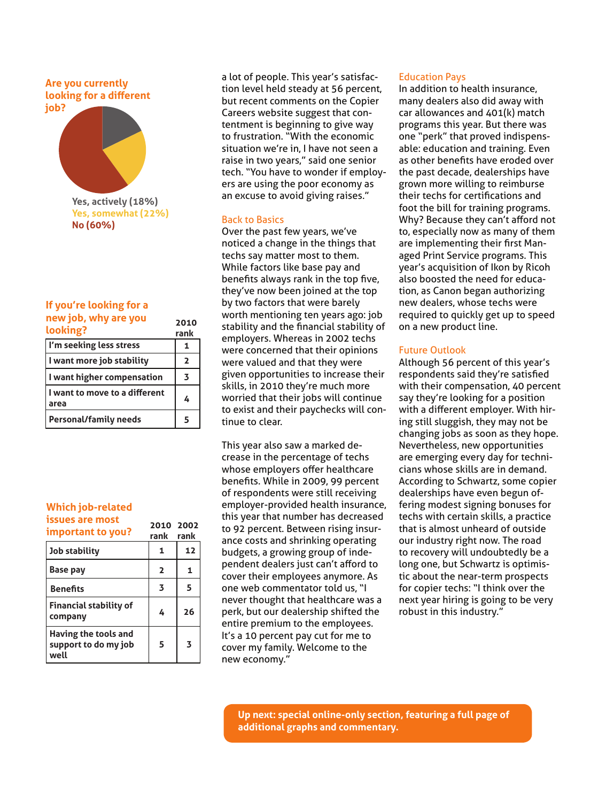**Are you currently looking for a different job?**



**Yes, somewhat (22%) No (60%)**

#### **If you're looking for a new job, why are you**

| <b>ILCW IOD, WITH GIC VOG</b><br>looking? | 2010<br>rank   |
|-------------------------------------------|----------------|
| I'm seeking less stress                   |                |
| I want more job stability                 | $\overline{2}$ |
| I want higher compensation                | 3              |
| I want to move to a different<br>area     | 4              |
| <b>Personal/family needs</b>              | 5              |

#### **Which job-related issues are most important to you? <sup>2010</sup>**

| illibol talit to you :                               | rank           | rank |
|------------------------------------------------------|----------------|------|
| Job stability                                        | 1              | 12   |
| <b>Base pay</b>                                      | $\overline{2}$ | 1    |
| <b>Benefits</b>                                      | 3              | 5    |
| <b>Financial stability of</b><br>company             | 4              | 26   |
| Having the tools and<br>support to do my job<br>well | 5              | 3    |

**2002**

a lot of people. This year's satisfaction level held steady at 56 percent, but recent comments on the Copier Careers website suggest that contentment is beginning to give way to frustration. "With the economic situation we're in, I have not seen a raise in two years," said one senior tech. "You have to wonder if employers are using the poor economy as an excuse to avoid giving raises."

#### Back to Basics

Over the past few years, we've noticed a change in the things that techs say matter most to them. While factors like base pay and benefits always rank in the top five, they've now been joined at the top by two factors that were barely worth mentioning ten years ago: job stability and the financial stability of employers. Whereas in 2002 techs were concerned that their opinions were valued and that they were given opportunities to increase their skills, in 2010 they're much more worried that their jobs will continue to exist and their paychecks will continue to clear.

This year also saw a marked decrease in the percentage of techs whose employers offer healthcare benefits. While in 2009, 99 percent of respondents were still receiving employer-provided health insurance, this year that number has decreased to 92 percent. Between rising insurance costs and shrinking operating budgets, a growing group of independent dealers just can't afford to cover their employees anymore. As one web commentator told us, "I never thought that healthcare was a perk, but our dealership shifted the entire premium to the employees. It's a 10 percent pay cut for me to cover my family. Welcome to the new economy."

#### Education Pays

In addition to health insurance, many dealers also did away with car allowances and 401(k) match programs this year. But there was one "perk" that proved indispensable: education and training. Even as other benefits have eroded over the past decade, dealerships have grown more willing to reimburse their techs for certifications and foot the bill for training programs. Why? Because they can't afford not to, especially now as many of them are implementing their first Managed Print Service programs. This year's acquisition of Ikon by Ricoh also boosted the need for education, as Canon began authorizing new dealers, whose techs were required to quickly get up to speed on a new product line.

#### Future Outlook

Although 56 percent of this year's respondents said they're satisfied with their compensation, 40 percent say they're looking for a position with a different employer. With hiring still sluggish, they may not be changing jobs as soon as they hope. Nevertheless, new opportunities are emerging every day for technicians whose skills are in demand. According to Schwartz, some copier dealerships have even begun offering modest signing bonuses for techs with certain skills, a practice that is almost unheard of outside our industry right now. The road to recovery will undoubtedly be a long one, but Schwartz is optimistic about the near-term prospects for copier techs: "I think over the next year hiring is going to be very robust in this industry."

**Up next: special online-only section, featuring a full page of additional graphs and commentary.**